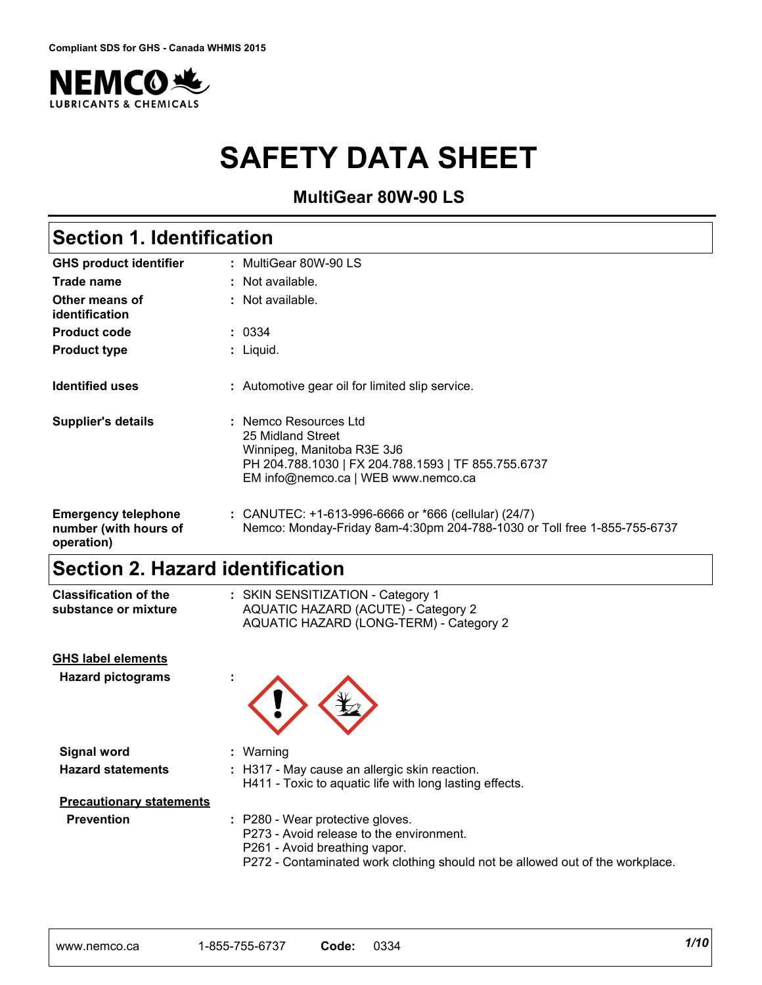

# **SAFETY DATA SHEET**

**MultiGear 80W-90 LS**

| <b>GHS product identifier</b>                                     | : MultiGear 80W-90 LS                                                                                                                                                  |
|-------------------------------------------------------------------|------------------------------------------------------------------------------------------------------------------------------------------------------------------------|
| Trade name                                                        | : Not available.                                                                                                                                                       |
| Other means of<br>identification                                  | : Not available.                                                                                                                                                       |
| <b>Product code</b>                                               | : 0334                                                                                                                                                                 |
| <b>Product type</b>                                               | : Liquid.                                                                                                                                                              |
| <b>Identified uses</b>                                            | : Automotive gear oil for limited slip service.                                                                                                                        |
| <b>Supplier's details</b>                                         | : Nemco Resources Ltd<br>25 Midland Street<br>Winnipeg, Manitoba R3E 3J6<br>PH 204.788.1030   FX 204.788.1593   TF 855.755.6737<br>EM info@nemco.ca   WEB www.nemco.ca |
| <b>Emergency telephone</b><br>number (with hours of<br>operation) | : CANUTEC: $+1-613-996-6666$ or $*666$ (cellular) (24/7)<br>Nemco: Monday-Friday 8am-4:30pm 204-788-1030 or Toll free 1-855-755-6737                                   |

SKIN SENSITIZATION - Category 1 **:**

### **Section 2. Hazard identification**

**Classification of the substance or mixture**

| substance or mixture            | AQUATIC HAZARD (ACUTE) - Category 2<br>AQUATIC HAZARD (LONG-TERM) - Category 2                                                                                                                 |
|---------------------------------|------------------------------------------------------------------------------------------------------------------------------------------------------------------------------------------------|
| <b>GHS label elements</b>       |                                                                                                                                                                                                |
| <b>Hazard pictograms</b>        |                                                                                                                                                                                                |
| <b>Signal word</b>              | $:$ Warning                                                                                                                                                                                    |
| <b>Hazard statements</b>        | : H317 - May cause an allergic skin reaction.<br>H411 - Toxic to aquatic life with long lasting effects.                                                                                       |
| <b>Precautionary statements</b> |                                                                                                                                                                                                |
| <b>Prevention</b>               | : P280 - Wear protective gloves.<br>P273 - Avoid release to the environment.<br>P261 - Avoid breathing vapor.<br>P272 - Contaminated work clothing should not be allowed out of the workplace. |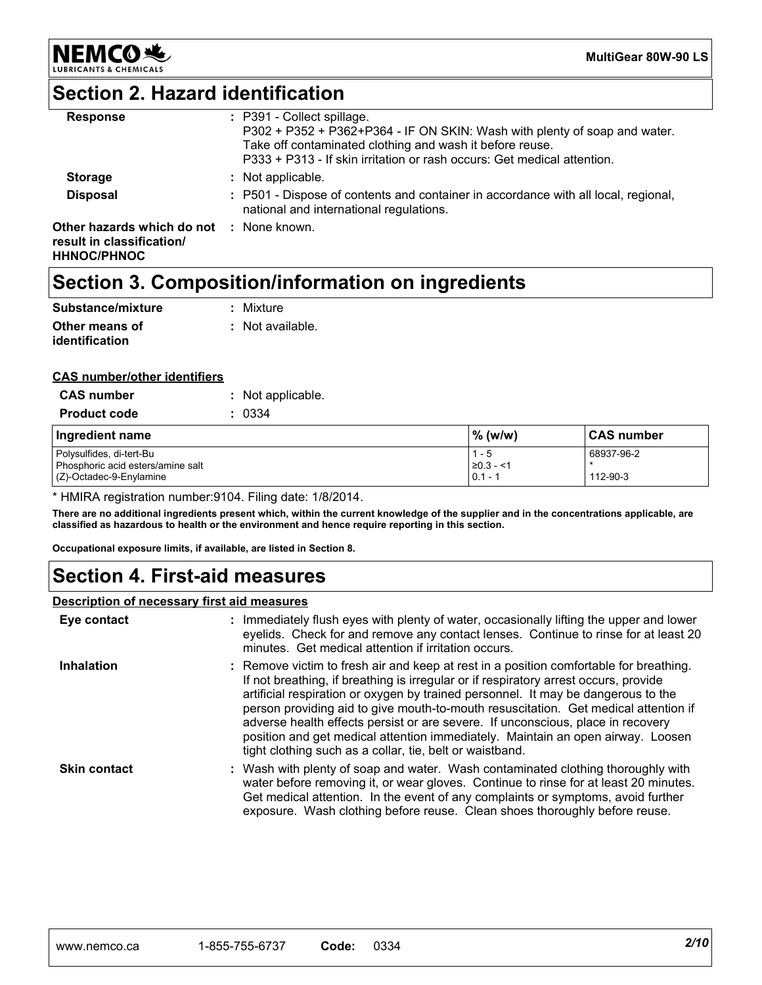

**MultiGear 80W-90 LS**

### **Section 2. Hazard identification**

| <b>Response</b>                                                               | : P391 - Collect spillage.<br>P302 + P352 + P362+P364 - IF ON SKIN: Wash with plenty of soap and water.<br>Take off contaminated clothing and wash it before reuse.<br>P333 + P313 - If skin irritation or rash occurs: Get medical attention. |
|-------------------------------------------------------------------------------|------------------------------------------------------------------------------------------------------------------------------------------------------------------------------------------------------------------------------------------------|
| <b>Storage</b>                                                                | : Not applicable.                                                                                                                                                                                                                              |
| <b>Disposal</b>                                                               | : P501 - Dispose of contents and container in accordance with all local, regional,<br>national and international regulations.                                                                                                                  |
| Other hazards which do not<br>result in classification/<br><b>HHNOC/PHNOC</b> | : None known.                                                                                                                                                                                                                                  |

### **Section 3. Composition/information on ingredients**

| Substance/mixture                | : Mixture        |
|----------------------------------|------------------|
| Other means of<br>identification | : Not available. |

#### **CAS number/other identifiers**

| <b>CAS number</b>                                                                           | : Not applicable. |                                        |                        |
|---------------------------------------------------------------------------------------------|-------------------|----------------------------------------|------------------------|
| <b>Product code</b>                                                                         | 0334              |                                        |                        |
| Ingredient name                                                                             |                   | $\%$ (w/w)                             | <b>CAS number</b>      |
| Polysulfides, di-tert-Bu<br>Phosphoric acid esters/amine salt<br>$(Z)$ -Octadec-9-Enylamine |                   | $1 - 5$<br>$\geq 0.3 - 1$<br>$0.1 - 1$ | 68937-96-2<br>112-90-3 |

\* HMIRA registration number:9104. Filing date: 1/8/2014.

**There are no additional ingredients present which, within the current knowledge of the supplier and in the concentrations applicable, are classified as hazardous to health or the environment and hence require reporting in this section.**

**Occupational exposure limits, if available, are listed in Section 8.**

### **Section 4. First-aid measures**

#### **Description of necessary first aid measures**

| Eye contact         | : Immediately flush eyes with plenty of water, occasionally lifting the upper and lower<br>eyelids. Check for and remove any contact lenses. Continue to rinse for at least 20<br>minutes. Get medical attention if irritation occurs.                                                                                                                                                                                                                                                                                                                                                       |
|---------------------|----------------------------------------------------------------------------------------------------------------------------------------------------------------------------------------------------------------------------------------------------------------------------------------------------------------------------------------------------------------------------------------------------------------------------------------------------------------------------------------------------------------------------------------------------------------------------------------------|
| <b>Inhalation</b>   | : Remove victim to fresh air and keep at rest in a position comfortable for breathing.<br>If not breathing, if breathing is irregular or if respiratory arrest occurs, provide<br>artificial respiration or oxygen by trained personnel. It may be dangerous to the<br>person providing aid to give mouth-to-mouth resuscitation. Get medical attention if<br>adverse health effects persist or are severe. If unconscious, place in recovery<br>position and get medical attention immediately. Maintain an open airway. Loosen<br>tight clothing such as a collar, tie, belt or waistband. |
| <b>Skin contact</b> | : Wash with plenty of soap and water. Wash contaminated clothing thoroughly with<br>water before removing it, or wear gloves. Continue to rinse for at least 20 minutes.<br>Get medical attention. In the event of any complaints or symptoms, avoid further<br>exposure. Wash clothing before reuse. Clean shoes thoroughly before reuse.                                                                                                                                                                                                                                                   |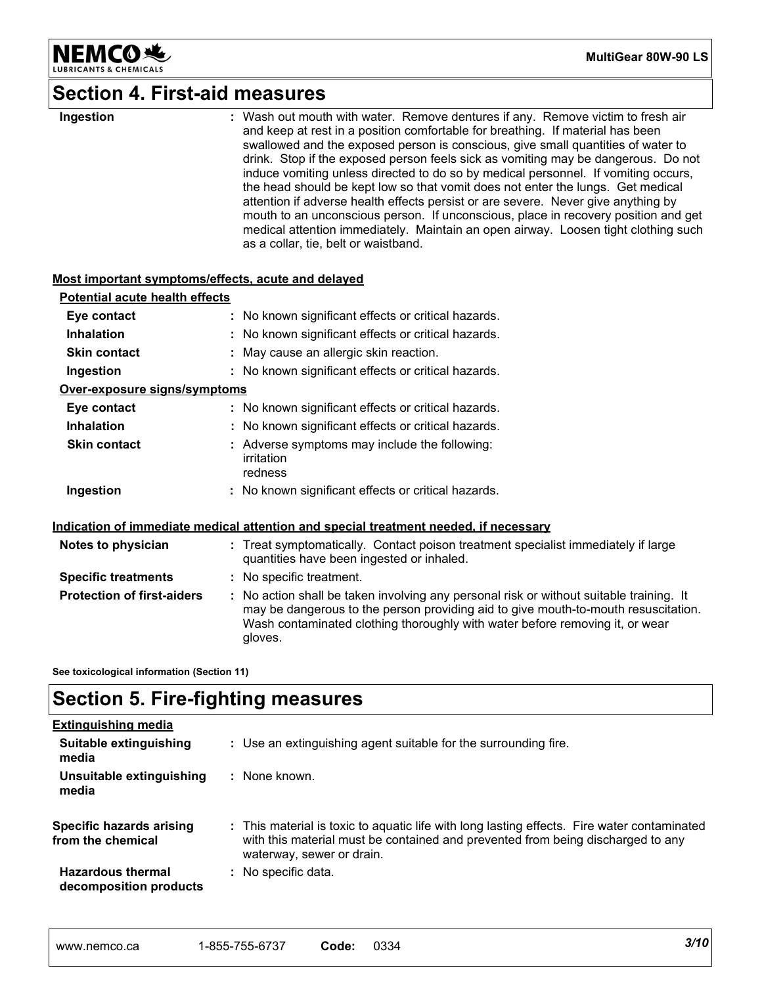

### **Section 4. First-aid measures**

| Ingestion                                          | : Wash out mouth with water. Remove dentures if any. Remove victim to fresh air<br>and keep at rest in a position comfortable for breathing. If material has been<br>swallowed and the exposed person is conscious, give small quantities of water to<br>drink. Stop if the exposed person feels sick as vomiting may be dangerous. Do not<br>induce vomiting unless directed to do so by medical personnel. If vomiting occurs,<br>the head should be kept low so that vomit does not enter the lungs. Get medical<br>attention if adverse health effects persist or are severe. Never give anything by<br>mouth to an unconscious person. If unconscious, place in recovery position and get<br>medical attention immediately. Maintain an open airway. Loosen tight clothing such<br>as a collar, tie, belt or waistband. |
|----------------------------------------------------|------------------------------------------------------------------------------------------------------------------------------------------------------------------------------------------------------------------------------------------------------------------------------------------------------------------------------------------------------------------------------------------------------------------------------------------------------------------------------------------------------------------------------------------------------------------------------------------------------------------------------------------------------------------------------------------------------------------------------------------------------------------------------------------------------------------------------|
| Most important symptoms/effects, acute and delayed |                                                                                                                                                                                                                                                                                                                                                                                                                                                                                                                                                                                                                                                                                                                                                                                                                              |
| <b>Potential acute health effects</b>              |                                                                                                                                                                                                                                                                                                                                                                                                                                                                                                                                                                                                                                                                                                                                                                                                                              |
| Eye contact                                        | : No known significant effects or critical hazards.                                                                                                                                                                                                                                                                                                                                                                                                                                                                                                                                                                                                                                                                                                                                                                          |
| <b>Inhalation</b>                                  | : No known significant effects or critical hazards.                                                                                                                                                                                                                                                                                                                                                                                                                                                                                                                                                                                                                                                                                                                                                                          |
| <b>Skin contact</b>                                | : May cause an allergic skin reaction.                                                                                                                                                                                                                                                                                                                                                                                                                                                                                                                                                                                                                                                                                                                                                                                       |
| Ingestion                                          | : No known significant effects or critical hazards.                                                                                                                                                                                                                                                                                                                                                                                                                                                                                                                                                                                                                                                                                                                                                                          |
| Over-exposure signs/symptoms                       |                                                                                                                                                                                                                                                                                                                                                                                                                                                                                                                                                                                                                                                                                                                                                                                                                              |
| Eye contact                                        | : No known significant effects or critical hazards.                                                                                                                                                                                                                                                                                                                                                                                                                                                                                                                                                                                                                                                                                                                                                                          |
| <b>Inhalation</b>                                  | : No known significant effects or critical hazards.                                                                                                                                                                                                                                                                                                                                                                                                                                                                                                                                                                                                                                                                                                                                                                          |
| <b>Skin contact</b>                                | : Adverse symptoms may include the following:<br>irritation<br>redness                                                                                                                                                                                                                                                                                                                                                                                                                                                                                                                                                                                                                                                                                                                                                       |
| Ingestion                                          | : No known significant effects or critical hazards.                                                                                                                                                                                                                                                                                                                                                                                                                                                                                                                                                                                                                                                                                                                                                                          |
|                                                    | Indication of immediate medical attention and special treatment needed, if necessary                                                                                                                                                                                                                                                                                                                                                                                                                                                                                                                                                                                                                                                                                                                                         |
| Notes to physician                                 | : Treat symptomatically. Contact poison treatment specialist immediately if large<br>quantities have been ingested or inhaled.                                                                                                                                                                                                                                                                                                                                                                                                                                                                                                                                                                                                                                                                                               |
| <b>Specific treatments</b>                         | : No specific treatment.                                                                                                                                                                                                                                                                                                                                                                                                                                                                                                                                                                                                                                                                                                                                                                                                     |
| <b>Protection of first-aiders</b>                  | : No action shall be taken involving any personal risk or without suitable training. It<br>may be dangerous to the person providing aid to give mouth-to-mouth resuscitation.<br>Wash contaminated clothing thoroughly with water before removing it, or wear<br>gloves.                                                                                                                                                                                                                                                                                                                                                                                                                                                                                                                                                     |
|                                                    |                                                                                                                                                                                                                                                                                                                                                                                                                                                                                                                                                                                                                                                                                                                                                                                                                              |

**See toxicological information (Section 11)**

### **Section 5. Fire-fighting measures**

| <b>Extinguishing media</b>                           |                                                                                                                                                                                                             |
|------------------------------------------------------|-------------------------------------------------------------------------------------------------------------------------------------------------------------------------------------------------------------|
| Suitable extinguishing<br>media                      | : Use an extinguishing agent suitable for the surrounding fire.                                                                                                                                             |
| Unsuitable extinguishing<br>media                    | : None known.                                                                                                                                                                                               |
| <b>Specific hazards arising</b><br>from the chemical | : This material is toxic to aquatic life with long lasting effects. Fire water contaminated<br>with this material must be contained and prevented from being discharged to any<br>waterway, sewer or drain. |
| <b>Hazardous thermal</b><br>decomposition products   | : No specific data.                                                                                                                                                                                         |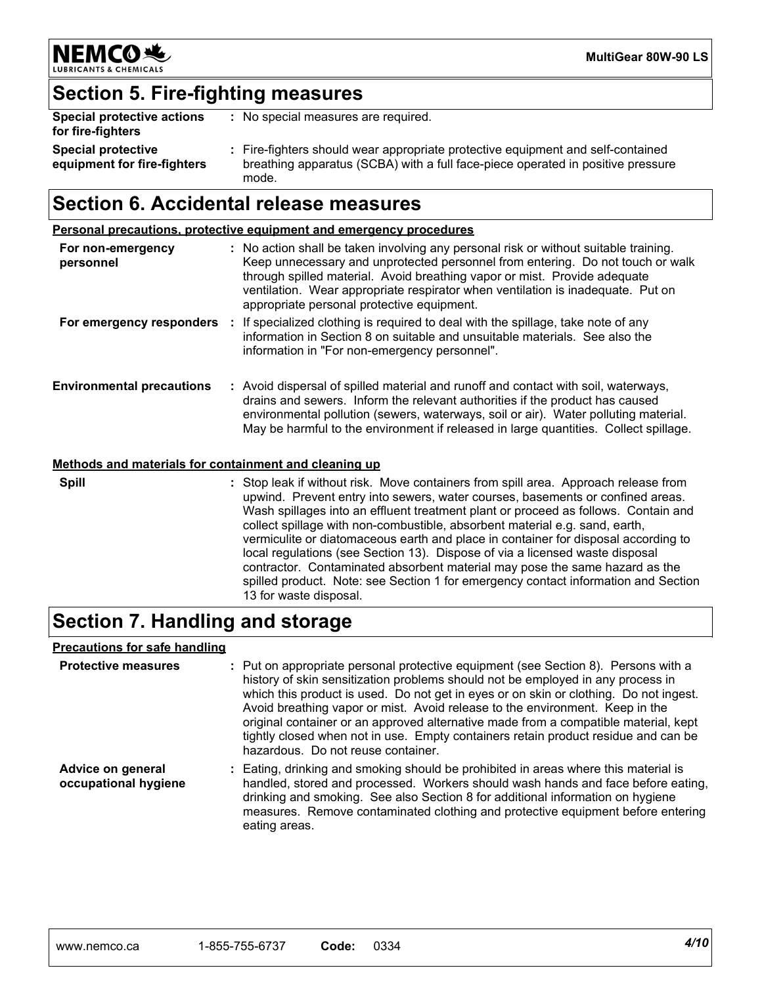

### **Section 5. Fire-fighting measures**

| Special protective actions<br>for fire-fighters          | : No special measures are required.                                                                                                                                         |
|----------------------------------------------------------|-----------------------------------------------------------------------------------------------------------------------------------------------------------------------------|
| <b>Special protective</b><br>equipment for fire-fighters | : Fire-fighters should wear appropriate protective equipment and self-contained<br>breathing apparatus (SCBA) with a full face-piece operated in positive pressure<br>mode. |

### **Section 6. Accidental release measures**

**Personal precautions, protective equipment and emergency procedures**

| For non-emergency<br>personnel   |    | : No action shall be taken involving any personal risk or without suitable training.<br>Keep unnecessary and unprotected personnel from entering. Do not touch or walk<br>through spilled material. Avoid breathing vapor or mist. Provide adequate<br>ventilation. Wear appropriate respirator when ventilation is inadequate. Put on<br>appropriate personal protective equipment. |
|----------------------------------|----|--------------------------------------------------------------------------------------------------------------------------------------------------------------------------------------------------------------------------------------------------------------------------------------------------------------------------------------------------------------------------------------|
| For emergency responders         | ÷. | If specialized clothing is required to deal with the spillage, take note of any<br>information in Section 8 on suitable and unsuitable materials. See also the<br>information in "For non-emergency personnel".                                                                                                                                                                      |
| <b>Environmental precautions</b> |    | : Avoid dispersal of spilled material and runoff and contact with soil, waterways,<br>drains and sewers. Inform the relevant authorities if the product has caused<br>environmental pollution (sewers, waterways, soil or air). Water polluting material.<br>May be harmful to the environment if released in large quantities. Collect spillage.                                    |

#### **Methods and materials for containment and cleaning up**

**Spill**

Stop leak if without risk. Move containers from spill area. Approach release from **:** upwind. Prevent entry into sewers, water courses, basements or confined areas. Wash spillages into an effluent treatment plant or proceed as follows. Contain and collect spillage with non-combustible, absorbent material e.g. sand, earth, vermiculite or diatomaceous earth and place in container for disposal according to local regulations (see Section 13). Dispose of via a licensed waste disposal contractor. Contaminated absorbent material may pose the same hazard as the spilled product. Note: see Section 1 for emergency contact information and Section 13 for waste disposal.

### **Section 7. Handling and storage**

#### **Precautions for safe handling**

| <b>Protective measures</b>                | : Put on appropriate personal protective equipment (see Section 8). Persons with a<br>history of skin sensitization problems should not be employed in any process in<br>which this product is used. Do not get in eyes or on skin or clothing. Do not ingest.<br>Avoid breathing vapor or mist. Avoid release to the environment. Keep in the<br>original container or an approved alternative made from a compatible material, kept<br>tightly closed when not in use. Empty containers retain product residue and can be<br>hazardous. Do not reuse container. |
|-------------------------------------------|-------------------------------------------------------------------------------------------------------------------------------------------------------------------------------------------------------------------------------------------------------------------------------------------------------------------------------------------------------------------------------------------------------------------------------------------------------------------------------------------------------------------------------------------------------------------|
| Advice on general<br>occupational hygiene | : Eating, drinking and smoking should be prohibited in areas where this material is<br>handled, stored and processed. Workers should wash hands and face before eating,<br>drinking and smoking. See also Section 8 for additional information on hygiene<br>measures. Remove contaminated clothing and protective equipment before entering<br>eating areas.                                                                                                                                                                                                     |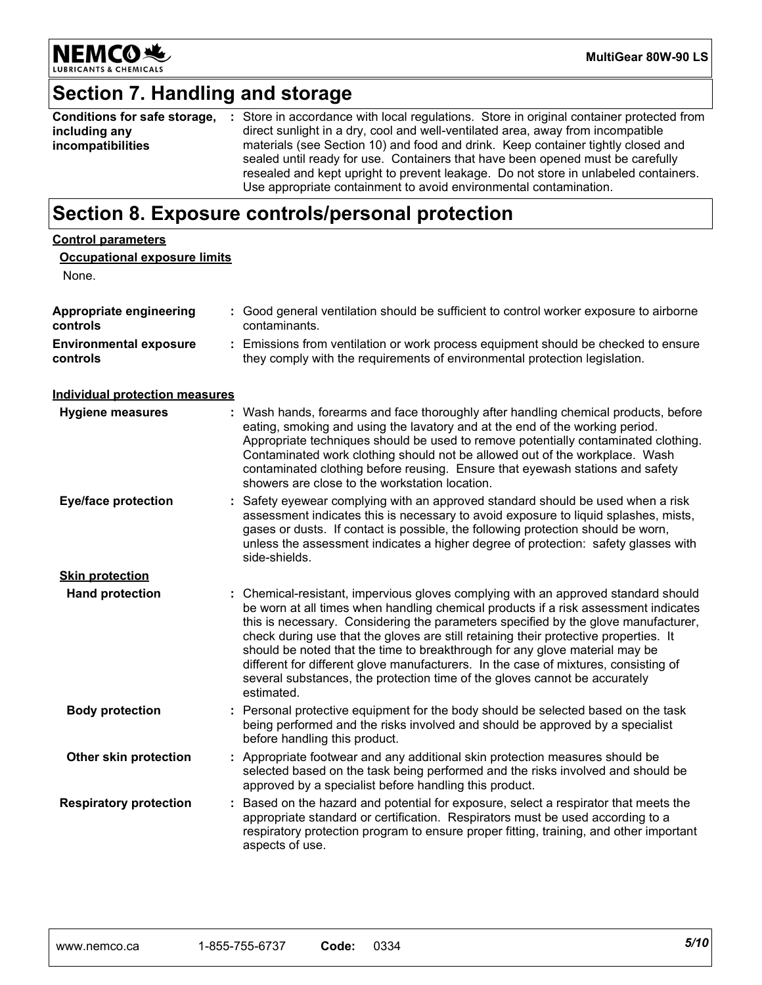

## **Section 7. Handling and storage**

| Conditions for safe storage, | : Store in accordance with local regulations. Store in original container protected from |
|------------------------------|------------------------------------------------------------------------------------------|
| including any                | direct sunlight in a dry, cool and well-ventilated area, away from incompatible          |
| incompatibilities            | materials (see Section 10) and food and drink. Keep container tightly closed and         |
|                              | sealed until ready for use. Containers that have been opened must be carefully           |
|                              | resealed and kept upright to prevent leakage. Do not store in unlabeled containers.      |
|                              | Use appropriate containment to avoid environmental contamination.                        |

### **Section 8. Exposure controls/personal protection**

| <b>Control parameters</b>                 |                                                                                                                                                                                                                                                                                                                                                                                                                                                                                                                                                                                                                           |
|-------------------------------------------|---------------------------------------------------------------------------------------------------------------------------------------------------------------------------------------------------------------------------------------------------------------------------------------------------------------------------------------------------------------------------------------------------------------------------------------------------------------------------------------------------------------------------------------------------------------------------------------------------------------------------|
| <b>Occupational exposure limits</b>       |                                                                                                                                                                                                                                                                                                                                                                                                                                                                                                                                                                                                                           |
| None.                                     |                                                                                                                                                                                                                                                                                                                                                                                                                                                                                                                                                                                                                           |
| Appropriate engineering<br>controls       | : Good general ventilation should be sufficient to control worker exposure to airborne<br>contaminants.                                                                                                                                                                                                                                                                                                                                                                                                                                                                                                                   |
| <b>Environmental exposure</b><br>controls | : Emissions from ventilation or work process equipment should be checked to ensure<br>they comply with the requirements of environmental protection legislation.                                                                                                                                                                                                                                                                                                                                                                                                                                                          |
| <b>Individual protection measures</b>     |                                                                                                                                                                                                                                                                                                                                                                                                                                                                                                                                                                                                                           |
| <b>Hygiene measures</b>                   | : Wash hands, forearms and face thoroughly after handling chemical products, before<br>eating, smoking and using the lavatory and at the end of the working period.<br>Appropriate techniques should be used to remove potentially contaminated clothing.<br>Contaminated work clothing should not be allowed out of the workplace. Wash<br>contaminated clothing before reusing. Ensure that eyewash stations and safety<br>showers are close to the workstation location.                                                                                                                                               |
| <b>Eye/face protection</b>                | : Safety eyewear complying with an approved standard should be used when a risk<br>assessment indicates this is necessary to avoid exposure to liquid splashes, mists,<br>gases or dusts. If contact is possible, the following protection should be worn,<br>unless the assessment indicates a higher degree of protection: safety glasses with<br>side-shields.                                                                                                                                                                                                                                                         |
| <b>Skin protection</b>                    |                                                                                                                                                                                                                                                                                                                                                                                                                                                                                                                                                                                                                           |
| <b>Hand protection</b>                    | : Chemical-resistant, impervious gloves complying with an approved standard should<br>be worn at all times when handling chemical products if a risk assessment indicates<br>this is necessary. Considering the parameters specified by the glove manufacturer,<br>check during use that the gloves are still retaining their protective properties. It<br>should be noted that the time to breakthrough for any glove material may be<br>different for different glove manufacturers. In the case of mixtures, consisting of<br>several substances, the protection time of the gloves cannot be accurately<br>estimated. |
| <b>Body protection</b>                    | : Personal protective equipment for the body should be selected based on the task<br>being performed and the risks involved and should be approved by a specialist<br>before handling this product.                                                                                                                                                                                                                                                                                                                                                                                                                       |
| Other skin protection                     | : Appropriate footwear and any additional skin protection measures should be<br>selected based on the task being performed and the risks involved and should be<br>approved by a specialist before handling this product.                                                                                                                                                                                                                                                                                                                                                                                                 |
| <b>Respiratory protection</b>             | : Based on the hazard and potential for exposure, select a respirator that meets the<br>appropriate standard or certification. Respirators must be used according to a<br>respiratory protection program to ensure proper fitting, training, and other important<br>aspects of use.                                                                                                                                                                                                                                                                                                                                       |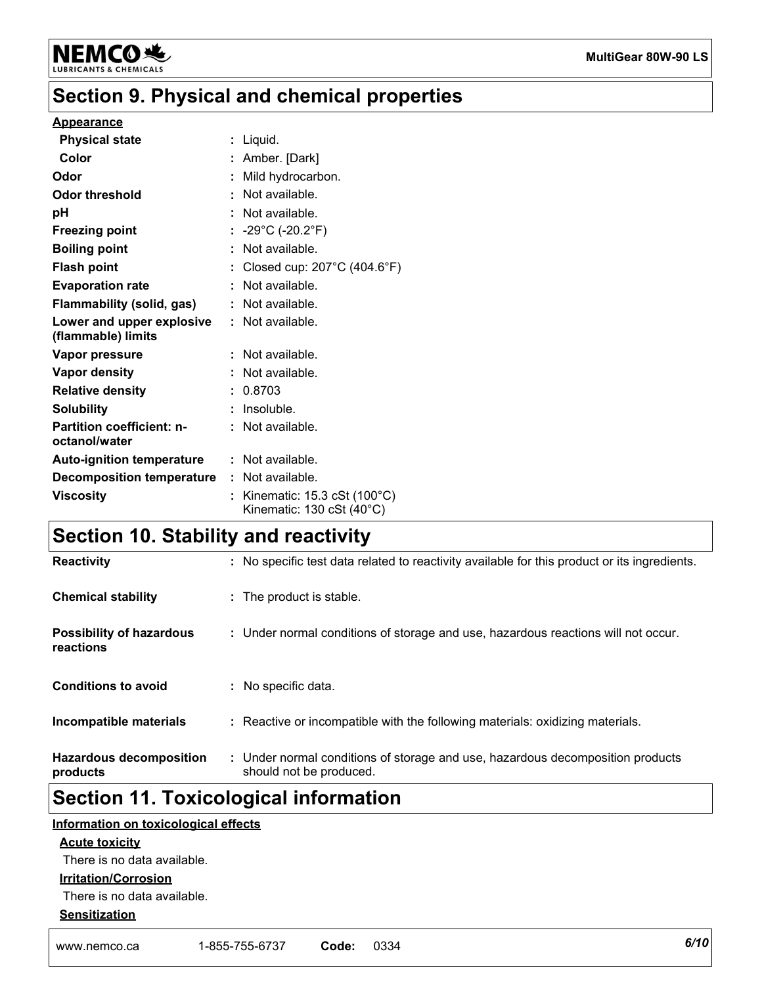

### **Section 9. Physical and chemical properties**

#### **Appearance**

| <b>Physical state</b>                             | : Liquid.                                                |
|---------------------------------------------------|----------------------------------------------------------|
| Color                                             | : Amber. [Dark]                                          |
| Odor                                              | Mild hydrocarbon.                                        |
| <b>Odor threshold</b>                             | : Not available.                                         |
| рH                                                | Not available.                                           |
| <b>Freezing point</b>                             | : $-29^{\circ}$ C (-20.2 $^{\circ}$ F)                   |
| <b>Boiling point</b>                              | Not available.                                           |
| <b>Flash point</b>                                | Closed cup: $207^{\circ}$ C (404.6 $^{\circ}$ F)         |
| <b>Evaporation rate</b>                           | Not available.                                           |
| Flammability (solid, gas)                         | : Not available.                                         |
| Lower and upper explosive<br>(flammable) limits   | : Not available.                                         |
| Vapor pressure                                    | Not available.                                           |
| Vapor density                                     | Not available.                                           |
| <b>Relative density</b>                           | : 0.8703                                                 |
| <b>Solubility</b>                                 | Insoluble.                                               |
| <b>Partition coefficient: n-</b><br>octanol/water | : Not available.                                         |
| <b>Auto-ignition temperature</b>                  | $:$ Not available.                                       |
| <b>Decomposition temperature</b>                  | $:$ Not available.                                       |
| <b>Viscosity</b>                                  | Kinematic: 15.3 cSt (100°C)<br>Kinematic: 130 cSt (40°C) |

### **Section 10. Stability and reactivity**

| <b>Reactivity</b>                            | : No specific test data related to reactivity available for this product or its ingredients.              |  |
|----------------------------------------------|-----------------------------------------------------------------------------------------------------------|--|
| <b>Chemical stability</b>                    | : The product is stable.                                                                                  |  |
| <b>Possibility of hazardous</b><br>reactions | : Under normal conditions of storage and use, hazardous reactions will not occur.                         |  |
| <b>Conditions to avoid</b>                   | : No specific data.                                                                                       |  |
| Incompatible materials                       | : Reactive or incompatible with the following materials: oxidizing materials.                             |  |
| <b>Hazardous decomposition</b><br>products   | : Under normal conditions of storage and use, hazardous decomposition products<br>should not be produced. |  |

### **Section 11. Toxicological information**

#### **Information on toxicological effects**

#### **Acute toxicity**

There is no data available.

#### **Irritation/Corrosion**

There is no data available.

#### **Sensitization**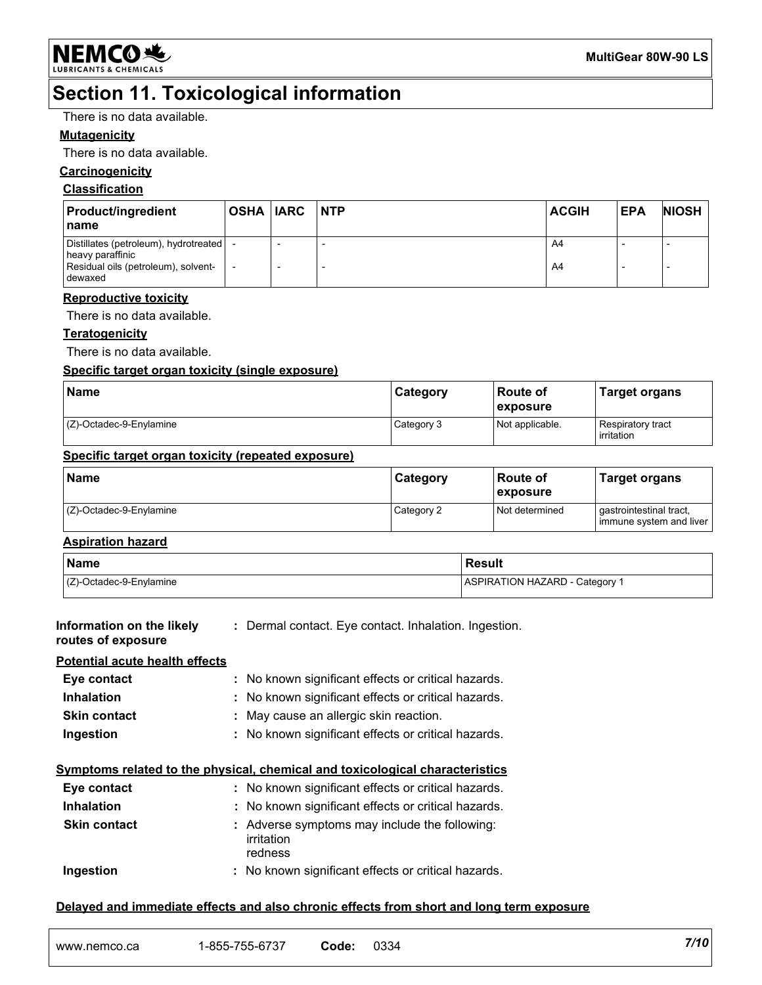

### **Section 11. Toxicological information**

There is no data available.

#### **Mutagenicity**

There is no data available.

#### **Carcinogenicity**

#### **Classification**

| <b>Product/ingredient</b><br>I name                                                                             | OSHA  IARC | <b>NTP</b> | <b>ACGIH</b> | <b>EPA</b> | <b>NIOSH</b> |
|-----------------------------------------------------------------------------------------------------------------|------------|------------|--------------|------------|--------------|
| Distillates (petroleum), hydrotreated   -<br>heavy paraffinic<br>Residual oils (petroleum), solvent-<br>dewaxed |            |            | A4<br>A4     |            |              |

#### **Reproductive toxicity**

There is no data available.

#### **Teratogenicity**

There is no data available.

#### **Specific target organ toxicity (single exposure)**

| <b>Name</b>             | Category   | <b>Route of</b><br>exposure | <b>Target organs</b>            |
|-------------------------|------------|-----------------------------|---------------------------------|
| (Z)-Octadec-9-Enylamine | Category 3 | Not applicable.             | Respiratory tract<br>irritation |

#### **Specific target organ toxicity (repeated exposure)**

| Name                       | <b>Category</b> | l Route of<br><b>exposure</b> | Target organs                                      |
|----------------------------|-----------------|-------------------------------|----------------------------------------------------|
| $(Z)$ -Octadec-9-Enylamine | Category 2      | Not determined                | gastrointestinal tract,<br>immune system and liver |

#### **Aspiration hazard**

| Name                            | Result                         |
|---------------------------------|--------------------------------|
| $\vert$ (Z)-Octadec-9-Enylamine | ASPIRATION HAZARD - Category 1 |

| Information on the likely<br>routes of exposure | : Dermal contact. Eye contact. Inhalation. Ingestion.                        |
|-------------------------------------------------|------------------------------------------------------------------------------|
| <b>Potential acute health effects</b>           |                                                                              |
| Eye contact                                     | : No known significant effects or critical hazards.                          |
| <b>Inhalation</b>                               | : No known significant effects or critical hazards.                          |
| <b>Skin contact</b>                             | : May cause an allergic skin reaction.                                       |
| Ingestion                                       | : No known significant effects or critical hazards.                          |
|                                                 | Symptoms related to the physical, chemical and toxicological characteristics |
| Eye contact                                     | : No known significant effects or critical hazards.                          |
| <b>Inhalation</b>                               | : No known significant effects or critical hazards.                          |
| <b>Skin contact</b>                             | : Adverse symptoms may include the following:<br>irritation<br>redness       |
| Ingestion                                       | : No known significant effects or critical hazards.                          |
|                                                 |                                                                              |

#### **Delayed and immediate effects and also chronic effects from short and long term exposure**

| www.nemco.ca | $-855-755$<br>$\sim$ $\sim$ $\sim$ $\sim$<br>755-6737 | Code: | 0334 | 7/10 |
|--------------|-------------------------------------------------------|-------|------|------|
|--------------|-------------------------------------------------------|-------|------|------|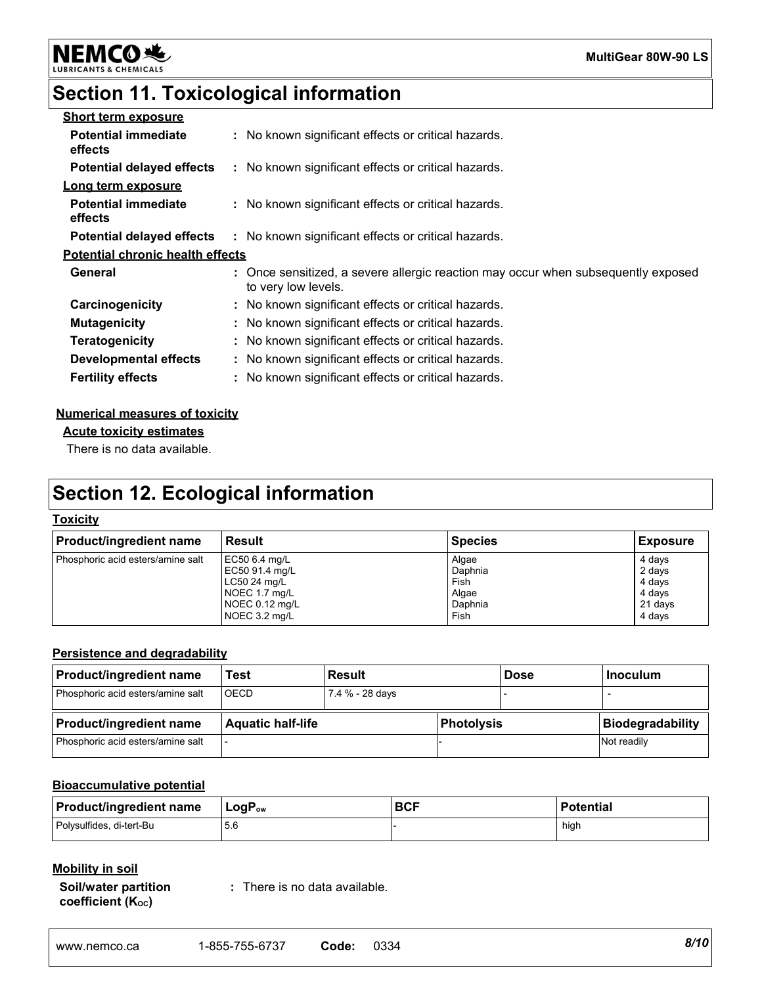**MultiGear 80W-90 LS**

#### **NEMCO头** LUBRIC

### **Section 11. Toxicological information**

| <b>Short term exposure</b>              |                                                                                                          |
|-----------------------------------------|----------------------------------------------------------------------------------------------------------|
| <b>Potential immediate</b><br>effects   | : No known significant effects or critical hazards.                                                      |
| <b>Potential delayed effects</b>        | : No known significant effects or critical hazards.                                                      |
| Long term exposure                      |                                                                                                          |
| <b>Potential immediate</b><br>effects   | : No known significant effects or critical hazards.                                                      |
| <b>Potential delayed effects</b>        | : No known significant effects or critical hazards.                                                      |
| <b>Potential chronic health effects</b> |                                                                                                          |
| General                                 | : Once sensitized, a severe allergic reaction may occur when subsequently exposed<br>to very low levels. |
| Carcinogenicity                         | : No known significant effects or critical hazards.                                                      |
| <b>Mutagenicity</b>                     | : No known significant effects or critical hazards.                                                      |
| <b>Teratogenicity</b>                   | : No known significant effects or critical hazards.                                                      |
| Developmental effects                   | : No known significant effects or critical hazards.                                                      |
| <b>Fertility effects</b>                | : No known significant effects or critical hazards.                                                      |
|                                         |                                                                                                          |

#### **Numerical measures of toxicity**

**Acute toxicity estimates**

There is no data available.

### **Section 12. Ecological information**

#### **Toxicity**

| <b>Product/ingredient name</b>    | l Result       | <b>Species</b> | <b>Exposure</b> |
|-----------------------------------|----------------|----------------|-----------------|
| Phosphoric acid esters/amine salt | EC50 6.4 mg/L  | Algae          | 4 days          |
|                                   | EC50 91.4 mg/L | Daphnia        | 2 days          |
|                                   | $LC5024$ mg/L  | Fish           | 4 days          |
|                                   | NOEC 1.7 mg/L  | Algae          | 4 days          |
|                                   | NOEC 0.12 mg/L | Daphnia        | 21 days         |
|                                   | NOEC 3.2 mg/L  | Fish           | 4 days          |

#### **Persistence and degradability**

| <b>Product/ingredient name</b>    | Test                     | <b>Result</b>   |            | <b>Dose</b> | l Inoculum              |
|-----------------------------------|--------------------------|-----------------|------------|-------------|-------------------------|
| Phosphoric acid esters/amine salt | <b>OECD</b>              | 7.4 % - 28 days |            |             |                         |
|                                   | <b>Aquatic half-life</b> |                 |            |             |                         |
| <b>Product/ingredient name</b>    |                          |                 | Photolysis |             | <b>Biodegradability</b> |

#### **Bioaccumulative potential**

| <b>Product/ingredient name</b> | $\sf{LogP_{ow}}$ | <b>BCF</b> | Potential |
|--------------------------------|------------------|------------|-----------|
| Polysulfides, di-tert-Bu       |                  |            | hiah      |

#### **Mobility in soil**

**Soil/water partition coefficient (KOC)**

**:** There is no data available.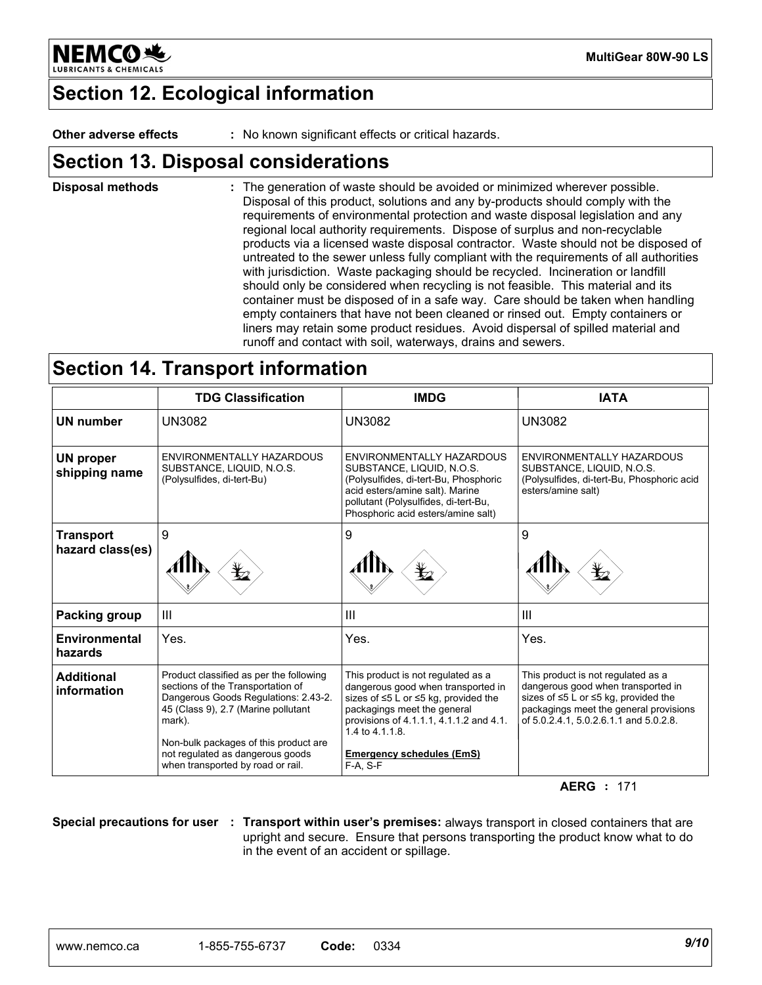

**MultiGear 80W-90 LS**

### **Section 12. Ecological information**

**Other adverse effects :** No known significant effects or critical hazards.

### **Section 13. Disposal considerations**

The generation of waste should be avoided or minimized wherever possible. Disposal of this product, solutions and any by-products should comply with the requirements of environmental protection and waste disposal legislation and any regional local authority requirements. Dispose of surplus and non-recyclable products via a licensed waste disposal contractor. Waste should not be disposed of untreated to the sewer unless fully compliant with the requirements of all authorities with jurisdiction. Waste packaging should be recycled. Incineration or landfill should only be considered when recycling is not feasible. This material and its container must be disposed of in a safe way. Care should be taken when handling empty containers that have not been cleaned or rinsed out. Empty containers or liners may retain some product residues. Avoid dispersal of spilled material and runoff and contact with soil, waterways, drains and sewers. **Disposal methods :**

### **Section 14. Transport information**

|                                      | <b>TDG Classification</b>                                                                                                                                                                                      | <b>IMDG</b>                                                                                                                                                                                                               | <b>IATA</b>                                                                                                                                                                                                      |
|--------------------------------------|----------------------------------------------------------------------------------------------------------------------------------------------------------------------------------------------------------------|---------------------------------------------------------------------------------------------------------------------------------------------------------------------------------------------------------------------------|------------------------------------------------------------------------------------------------------------------------------------------------------------------------------------------------------------------|
| UN number                            | <b>UN3082</b>                                                                                                                                                                                                  | <b>UN3082</b>                                                                                                                                                                                                             | <b>UN3082</b>                                                                                                                                                                                                    |
| <b>UN proper</b><br>shipping name    | ENVIRONMENTALLY HAZARDOUS<br>SUBSTANCE, LIQUID, N.O.S.<br>(Polysulfides, di-tert-Bu)                                                                                                                           | ENVIRONMENTALLY HAZARDOUS<br>SUBSTANCE, LIQUID, N.O.S.<br>(Polysulfides, di-tert-Bu, Phosphoric<br>acid esters/amine salt). Marine<br>pollutant (Polysulfides, di-tert-Bu,<br>Phosphoric acid esters/amine salt)          | ENVIRONMENTALLY HAZARDOUS<br>SUBSTANCE, LIQUID, N.O.S.<br>(Polysulfides, di-tert-Bu, Phosphoric acid<br>esters/amine salt)                                                                                       |
| <b>Transport</b><br>hazard class(es) | 9<br>$\mathbf{r}_2$                                                                                                                                                                                            | 9                                                                                                                                                                                                                         | 9                                                                                                                                                                                                                |
| Packing group                        | $\mathbf{III}$                                                                                                                                                                                                 | $\mathbf{III}$                                                                                                                                                                                                            | $\mathbf{III}$                                                                                                                                                                                                   |
| Environmental<br>hazards             | Yes.                                                                                                                                                                                                           | Yes.                                                                                                                                                                                                                      | Yes.                                                                                                                                                                                                             |
| <b>Additional</b><br>information     | Product classified as per the following<br>sections of the Transportation of<br>Dangerous Goods Regulations: 2.43-2.<br>45 (Class 9), 2.7 (Marine pollutant<br>mark).<br>Non-bulk packages of this product are | This product is not regulated as a<br>dangerous good when transported in<br>sizes of $\leq 5$ L or $\leq 5$ kg, provided the<br>packagings meet the general<br>provisions of 4.1.1.1, 4.1.1.2 and 4.1.<br>1.4 to 4.1.1.8. | This product is not regulated as a<br>dangerous good when transported in<br>sizes of $\leq 5$ L or $\leq 5$ kg, provided the<br>packagings meet the general provisions<br>of 5.0.2.4.1. 5.0.2.6.1.1 and 5.0.2.8. |
|                                      | not regulated as dangerous goods<br>when transported by road or rail.                                                                                                                                          | <b>Emergency schedules (EmS)</b><br>$F-A. S-F$                                                                                                                                                                            |                                                                                                                                                                                                                  |

**AERG :** 171

**Special precautions for user : Transport within user's premises:** always transport in closed containers that are upright and secure. Ensure that persons transporting the product know what to do in the event of an accident or spillage.